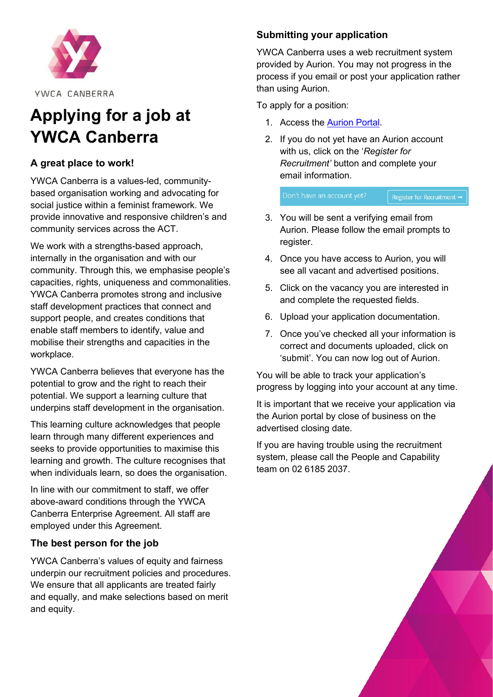

YWCA CANBERRA

# **Applying for a job at YWCA Canberra**

# **A great place to work!**

YWCA Canberra is a values-led, communitybased organisation working and advocating for social justice within a feminist framework. We provide innovative and responsive children's and community services across the ACT.

We work with a strengths-based approach, internally in the organisation and with our community. Through this, we emphasise people's capacities, rights, uniqueness and commonalities. YWCA Canberra promotes strong and inclusive staff development practices that connect and support people, and creates conditions that enable staff members to identify, value and mobilise their strengths and capacities in the workplace.

YWCA Canberra believes that everyone has the potential to grow and the right to reach their potential. We support a learning culture that underpins staff development in the organisation.

This learning culture acknowledges that people learn through many different experiences and seeks to provide opportunities to maximise this learning and growth. The culture recognises that when individuals learn, so does the organisation.

In line with our commitment to staff, we offer above-award conditions through the YWCA Canberra Enterprise Agreement. All staff are employed under this Agreement.

# **The best person for the job**

YWCA Canberra's values of equity and fairness underpin our recruitment policies and procedures. We ensure that all applicants are treated fairly and equally, and make selections based on merit and equity.

# **Submitting your application**

YWCA Canberra uses a web recruitment system provided by Aurion. You may not progress in the process if you email or post your application rather than using Aurion.

To apply for a position:

- 1. Access the [Aurion Portal.](https://candidate.aurion.cloud/ywca/production/signin)
- 2. If you do not yet have an Aurion account with us, click on the '*Register for Recruitment'* button and complete your email information.

Don't have an account yet? Register for Recruitment →

- 3. You will be sent a verifying email from Aurion. Please follow the email prompts to register.
- 4. Once you have access to Aurion, you will see all vacant and advertised positions.
- 5. Click on the vacancy you are interested in and complete the requested fields.
- 6. Upload your application documentation.
- 7. Once you've checked all your information is correct and documents uploaded, click on 'submit'. You can now log out of Aurion.

You will be able to track your application's progress by logging into your account at any time.

It is important that we receive your application via the Aurion portal by close of business on the advertised closing date.

If you are having trouble using the recruitment system, please call the People and Capability team on 02 6185 2037.